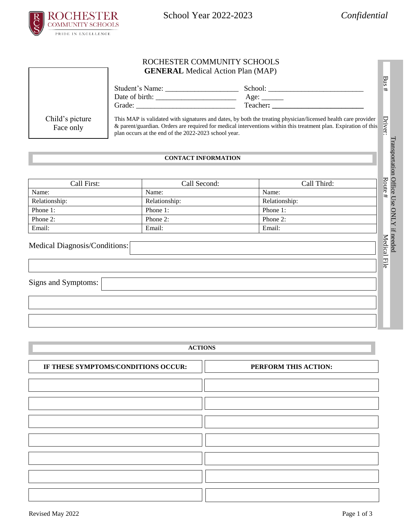

School Year 2022-2023 *Confidential*

File<br>File

#### ROCHESTER COMMUNITY SCHOOLS **GENERAL** Medical Action Plan (MAP)

|                                                                                                                                                                                                                                                                                                                          | <b>GENERAL</b> Medical Action Plan (MAP) |                            |                      |
|--------------------------------------------------------------------------------------------------------------------------------------------------------------------------------------------------------------------------------------------------------------------------------------------------------------------------|------------------------------------------|----------------------------|----------------------|
|                                                                                                                                                                                                                                                                                                                          |                                          | Age: $\_\_$                |                      |
| Child's picture<br>This MAP is validated with signatures and dates, by both the treating physician/licensed health care provider<br>& parent/guardian. Orders are required for medical interventions within this treatment plan. Expiration of this<br>Face only<br>plan occurs at the end of the 2022-2023 school year. |                                          |                            |                      |
|                                                                                                                                                                                                                                                                                                                          |                                          | <b>CONTACT INFORMATION</b> |                      |
| Call First:                                                                                                                                                                                                                                                                                                              |                                          | Call Second:               | Call Third:          |
| $N_{\alpha m\alpha}$                                                                                                                                                                                                                                                                                                     | $N_{\alpha m\alpha}$                     |                            | $N_{\alpha m\alpha}$ |

### **CONTACT INFORMATION**

| <b>CONTACT INFORMATION</b>    |               |               |                 |  |
|-------------------------------|---------------|---------------|-----------------|--|
| Call First:                   | Call Second:  | Call Third:   | Route           |  |
| Name:                         | Name:         | Name:         | $^{\rm \#}$     |  |
| Relationship:                 | Relationship: | Relationship: |                 |  |
| Phone 1:                      | Phone 1:      | Phone 1:      |                 |  |
| Phone 2:                      | Phone 2:      | Phone 2:      |                 |  |
| Email:                        | Email:        | Email:        |                 |  |
| Medical Diagnosis/Conditions: |               |               | Medical<br>File |  |

# Medical Diagnosis/Conditions:

Signs and Symptoms:

**ACTIONS**

| IF THESE SYMPTOMS/CONDITIONS OCCUR: | PERFORM THIS ACTION: |
|-------------------------------------|----------------------|
|                                     |                      |
|                                     |                      |
|                                     |                      |
|                                     |                      |
|                                     |                      |
|                                     |                      |
|                                     |                      |
|                                     |                      |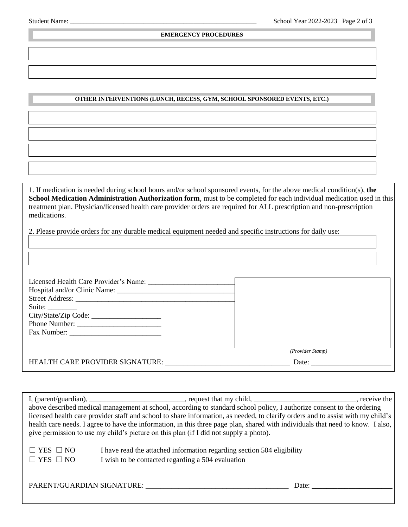Г

#### **EMERGENCY PROCEDURES**

## **OTHER INTERVENTIONS (LUNCH, RECESS, GYM, SCHOOL SPONSORED EVENTS, ETC.) INTERVENTIO(CLASSROOMTTTTTRANSPORATIONSCHOOLSPONSEVENETCETCCHOSPONSORED**

1. If medication is needed during school hours and/or school sponsored events, for the above medical condition(s), **the School Medication Administration Authorization form**, must to be completed for each individual medication used in this treatment plan. Physician/licensed health care provider orders are required for ALL prescription and non-prescription medications.

2. Please provide orders for any durable medical equipment needed and specific instructions for daily use:

| Licensed Health Care Provider's Name:<br>Suite: $\_\_$<br>Phone Number: |                  |
|-------------------------------------------------------------------------|------------------|
|                                                                         | (Provider Stamp) |
| HEALTH CARE PROVIDER SIGNATURE:                                         | Date:            |

| above described medical management at school, according to standard school policy, I authorize consent to the ordering          |                                                                        |  |  |  |  |
|---------------------------------------------------------------------------------------------------------------------------------|------------------------------------------------------------------------|--|--|--|--|
| licensed health care provider staff and school to share information, as needed, to clarify orders and to assist with my child's |                                                                        |  |  |  |  |
| health care needs. I agree to have the information, in this three page plan, shared with individuals that need to know. I also, |                                                                        |  |  |  |  |
| give permission to use my child's picture on this plan (if I did not supply a photo).                                           |                                                                        |  |  |  |  |
|                                                                                                                                 |                                                                        |  |  |  |  |
| $\Box$ YES $\Box$ NO                                                                                                            | I have read the attached information regarding section 504 eligibility |  |  |  |  |
| $\Box$ YES $\Box$ NO                                                                                                            | I wish to be contacted regarding a 504 evaluation                      |  |  |  |  |
|                                                                                                                                 |                                                                        |  |  |  |  |
|                                                                                                                                 |                                                                        |  |  |  |  |
|                                                                                                                                 | PARENT/GUARDIAN SIGNATURE:<br>Date:                                    |  |  |  |  |